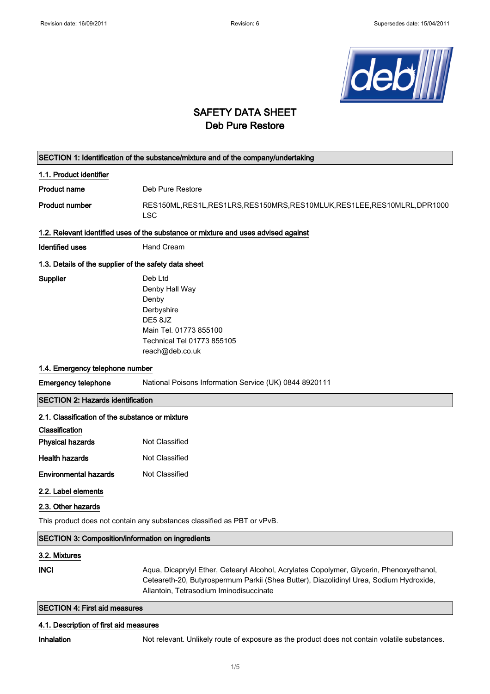

## SAFETY DATA SHEET Deb Pure Restore

| SECTION 1: Identification of the substance/mixture and of the company/undertaking  |                                                                                                                                                                                                                               |  |
|------------------------------------------------------------------------------------|-------------------------------------------------------------------------------------------------------------------------------------------------------------------------------------------------------------------------------|--|
| 1.1. Product identifier                                                            |                                                                                                                                                                                                                               |  |
| <b>Product name</b>                                                                | Deb Pure Restore                                                                                                                                                                                                              |  |
| <b>Product number</b>                                                              | RES150ML, RES1L, RES1LRS, RES150MRS, RES10MLUK, RES1LEE, RES10MLRL, DPR1000<br><b>LSC</b>                                                                                                                                     |  |
| 1.2. Relevant identified uses of the substance or mixture and uses advised against |                                                                                                                                                                                                                               |  |
| <b>Identified uses</b>                                                             | Hand Cream                                                                                                                                                                                                                    |  |
| 1.3. Details of the supplier of the safety data sheet                              |                                                                                                                                                                                                                               |  |
| Supplier                                                                           | Deb Ltd<br>Denby Hall Way<br>Denby<br>Derbyshire<br>DE5 8JZ<br>Main Tel. 01773 855100<br>Technical Tel 01773 855105<br>reach@deb.co.uk                                                                                        |  |
| 1.4. Emergency telephone number                                                    |                                                                                                                                                                                                                               |  |
| <b>Emergency telephone</b>                                                         | National Poisons Information Service (UK) 0844 8920111                                                                                                                                                                        |  |
| <b>SECTION 2: Hazards identification</b>                                           |                                                                                                                                                                                                                               |  |
| 2.1. Classification of the substance or mixture                                    |                                                                                                                                                                                                                               |  |
| Classification                                                                     |                                                                                                                                                                                                                               |  |
| <b>Physical hazards</b>                                                            | Not Classified                                                                                                                                                                                                                |  |
| <b>Health hazards</b>                                                              | Not Classified                                                                                                                                                                                                                |  |
| <b>Environmental hazards</b>                                                       | Not Classified                                                                                                                                                                                                                |  |
| 2.2. Label elements                                                                |                                                                                                                                                                                                                               |  |
| 2.3. Other hazards                                                                 |                                                                                                                                                                                                                               |  |
|                                                                                    | This product does not contain any substances classified as PBT or vPvB.                                                                                                                                                       |  |
| <b>SECTION 3: Composition/information on ingredients</b>                           |                                                                                                                                                                                                                               |  |
| 3.2. Mixtures                                                                      |                                                                                                                                                                                                                               |  |
| <b>INCI</b>                                                                        | Aqua, Dicaprylyl Ether, Cetearyl Alcohol, Acrylates Copolymer, Glycerin, Phenoxyethanol,<br>Ceteareth-20, Butyrospermum Parkii (Shea Butter), Diazolidinyl Urea, Sodium Hydroxide,<br>Allantoin, Tetrasodium Iminodisuccinate |  |

SECTION 4: First aid measures

### 4.1. Description of first aid measures

Inhalation Not relevant. Unlikely route of exposure as the product does not contain volatile substances.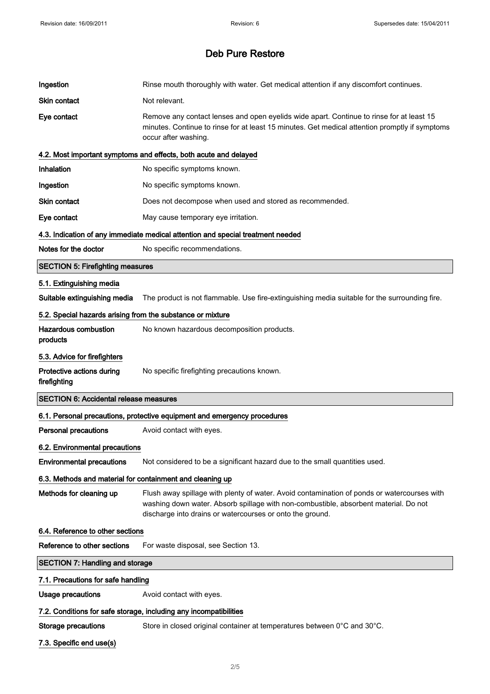| Ingestion                                                  | Rinse mouth thoroughly with water. Get medical attention if any discomfort continues.                                                                                                                                                            |
|------------------------------------------------------------|--------------------------------------------------------------------------------------------------------------------------------------------------------------------------------------------------------------------------------------------------|
| <b>Skin contact</b>                                        | Not relevant.                                                                                                                                                                                                                                    |
| Eye contact                                                | Remove any contact lenses and open eyelids wide apart. Continue to rinse for at least 15<br>minutes. Continue to rinse for at least 15 minutes. Get medical attention promptly if symptoms<br>occur after washing.                               |
|                                                            | 4.2. Most important symptoms and effects, both acute and delayed                                                                                                                                                                                 |
| Inhalation                                                 | No specific symptoms known.                                                                                                                                                                                                                      |
| Ingestion                                                  | No specific symptoms known.                                                                                                                                                                                                                      |
| Skin contact                                               | Does not decompose when used and stored as recommended.                                                                                                                                                                                          |
| Eye contact                                                | May cause temporary eye irritation.                                                                                                                                                                                                              |
|                                                            | 4.3. Indication of any immediate medical attention and special treatment needed                                                                                                                                                                  |
| Notes for the doctor                                       | No specific recommendations.                                                                                                                                                                                                                     |
| <b>SECTION 5: Firefighting measures</b>                    |                                                                                                                                                                                                                                                  |
| 5.1. Extinguishing media                                   |                                                                                                                                                                                                                                                  |
| Suitable extinguishing media                               | The product is not flammable. Use fire-extinguishing media suitable for the surrounding fire.                                                                                                                                                    |
| 5.2. Special hazards arising from the substance or mixture |                                                                                                                                                                                                                                                  |
| <b>Hazardous combustion</b><br>products                    | No known hazardous decomposition products.                                                                                                                                                                                                       |
| 5.3. Advice for firefighters                               |                                                                                                                                                                                                                                                  |
|                                                            |                                                                                                                                                                                                                                                  |
| Protective actions during<br>firefighting                  | No specific firefighting precautions known.                                                                                                                                                                                                      |
| <b>SECTION 6: Accidental release measures</b>              |                                                                                                                                                                                                                                                  |
|                                                            | 6.1. Personal precautions, protective equipment and emergency procedures                                                                                                                                                                         |
| <b>Personal precautions</b>                                | Avoid contact with eyes.                                                                                                                                                                                                                         |
| 6.2. Environmental precautions                             |                                                                                                                                                                                                                                                  |
| <b>Environmental precautions</b>                           | Not considered to be a significant hazard due to the small quantities used.                                                                                                                                                                      |
| 6.3. Methods and material for containment and cleaning up  |                                                                                                                                                                                                                                                  |
| Methods for cleaning up                                    | Flush away spillage with plenty of water. Avoid contamination of ponds or watercourses with<br>washing down water. Absorb spillage with non-combustible, absorbent material. Do not<br>discharge into drains or watercourses or onto the ground. |
| 6.4. Reference to other sections                           |                                                                                                                                                                                                                                                  |
| Reference to other sections                                | For waste disposal, see Section 13.                                                                                                                                                                                                              |
| <b>SECTION 7: Handling and storage</b>                     |                                                                                                                                                                                                                                                  |
| 7.1. Precautions for safe handling                         |                                                                                                                                                                                                                                                  |
| <b>Usage precautions</b>                                   | Avoid contact with eyes.                                                                                                                                                                                                                         |
|                                                            | 7.2. Conditions for safe storage, including any incompatibilities                                                                                                                                                                                |
| <b>Storage precautions</b>                                 | Store in closed original container at temperatures between 0°C and 30°C.                                                                                                                                                                         |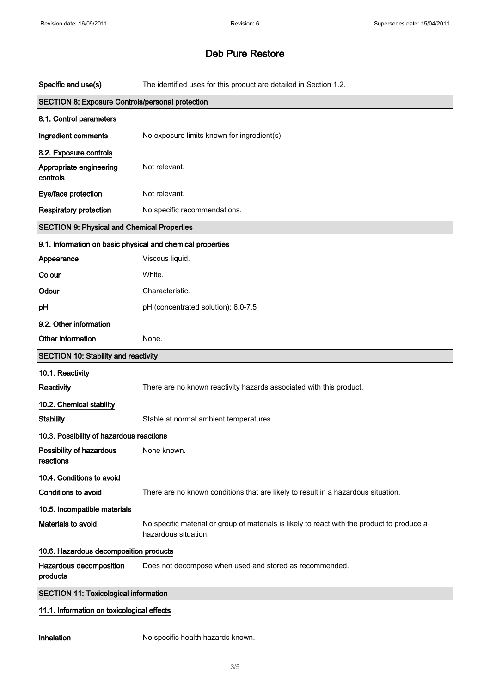| Specific end use(s)                                        | The identified uses for this product are detailed in Section 1.2.                                                   |
|------------------------------------------------------------|---------------------------------------------------------------------------------------------------------------------|
| SECTION 8: Exposure Controls/personal protection           |                                                                                                                     |
| 8.1. Control parameters                                    |                                                                                                                     |
| Ingredient comments                                        | No exposure limits known for ingredient(s).                                                                         |
| 8.2. Exposure controls                                     |                                                                                                                     |
| Appropriate engineering<br>controls                        | Not relevant.                                                                                                       |
| Eye/face protection                                        | Not relevant.                                                                                                       |
| <b>Respiratory protection</b>                              | No specific recommendations.                                                                                        |
| <b>SECTION 9: Physical and Chemical Properties</b>         |                                                                                                                     |
| 9.1. Information on basic physical and chemical properties |                                                                                                                     |
| Appearance                                                 | Viscous liquid.                                                                                                     |
| Colour                                                     | White.                                                                                                              |
| Odour                                                      | Characteristic.                                                                                                     |
| pH                                                         | pH (concentrated solution): 6.0-7.5                                                                                 |
| 9.2. Other information                                     |                                                                                                                     |
| Other information                                          | None.                                                                                                               |
|                                                            |                                                                                                                     |
| <b>SECTION 10: Stability and reactivity</b>                |                                                                                                                     |
| 10.1. Reactivity                                           |                                                                                                                     |
| Reactivity                                                 | There are no known reactivity hazards associated with this product.                                                 |
| 10.2. Chemical stability                                   |                                                                                                                     |
| <b>Stability</b>                                           | Stable at normal ambient temperatures.                                                                              |
| 10.3. Possibility of hazardous reactions                   |                                                                                                                     |
| Possibility of hazardous<br>reactions                      | None known.                                                                                                         |
| 10.4. Conditions to avoid                                  |                                                                                                                     |
| <b>Conditions to avoid</b>                                 | There are no known conditions that are likely to result in a hazardous situation.                                   |
| 10.5. Incompatible materials                               |                                                                                                                     |
| Materials to avoid                                         | No specific material or group of materials is likely to react with the product to produce a<br>hazardous situation. |
| 10.6. Hazardous decomposition products                     |                                                                                                                     |
| Hazardous decomposition<br>products                        | Does not decompose when used and stored as recommended.                                                             |
| <b>SECTION 11: Toxicological information</b>               |                                                                                                                     |

Inhalation No specific health hazards known.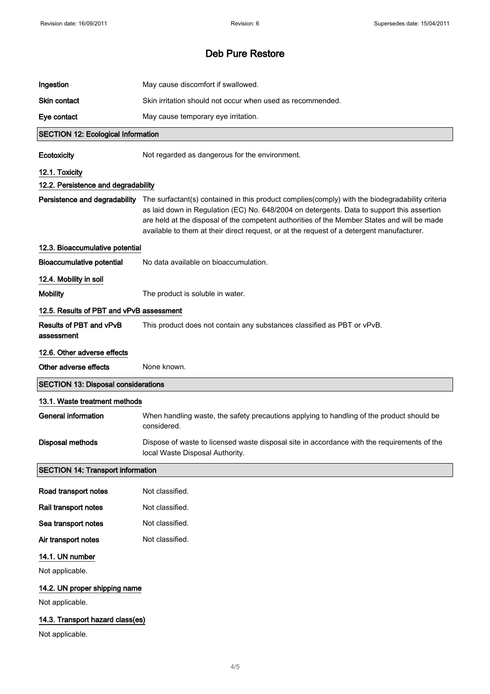| Ingestion                                  | May cause discomfort if swallowed.                                                                                                                                                                                                                                                                                                                                                        |
|--------------------------------------------|-------------------------------------------------------------------------------------------------------------------------------------------------------------------------------------------------------------------------------------------------------------------------------------------------------------------------------------------------------------------------------------------|
| <b>Skin contact</b>                        | Skin irritation should not occur when used as recommended.                                                                                                                                                                                                                                                                                                                                |
| Eye contact                                | May cause temporary eye irritation.                                                                                                                                                                                                                                                                                                                                                       |
| <b>SECTION 12: Ecological Information</b>  |                                                                                                                                                                                                                                                                                                                                                                                           |
| Ecotoxicity                                | Not regarded as dangerous for the environment.                                                                                                                                                                                                                                                                                                                                            |
| 12.1. Toxicity                             |                                                                                                                                                                                                                                                                                                                                                                                           |
| 12.2. Persistence and degradability        |                                                                                                                                                                                                                                                                                                                                                                                           |
| Persistence and degradability              | The surfactant(s) contained in this product complies(comply) with the biodegradability criteria<br>as laid down in Regulation (EC) No. 648/2004 on detergents. Data to support this assertion<br>are held at the disposal of the competent authorities of the Member States and will be made<br>available to them at their direct request, or at the request of a detergent manufacturer. |
| 12.3. Bioaccumulative potential            |                                                                                                                                                                                                                                                                                                                                                                                           |
| <b>Bioaccumulative potential</b>           | No data available on bioaccumulation.                                                                                                                                                                                                                                                                                                                                                     |
| 12.4. Mobility in soil                     |                                                                                                                                                                                                                                                                                                                                                                                           |
| <b>Mobility</b>                            | The product is soluble in water.                                                                                                                                                                                                                                                                                                                                                          |
| 12.5. Results of PBT and vPvB assessment   |                                                                                                                                                                                                                                                                                                                                                                                           |
| Results of PBT and vPvB<br>assessment      | This product does not contain any substances classified as PBT or vPvB.                                                                                                                                                                                                                                                                                                                   |
| 12.6. Other adverse effects                |                                                                                                                                                                                                                                                                                                                                                                                           |
|                                            |                                                                                                                                                                                                                                                                                                                                                                                           |
| Other adverse effects                      | None known.                                                                                                                                                                                                                                                                                                                                                                               |
| <b>SECTION 13: Disposal considerations</b> |                                                                                                                                                                                                                                                                                                                                                                                           |
| 13.1. Waste treatment methods              |                                                                                                                                                                                                                                                                                                                                                                                           |
| <b>General information</b>                 | When handling waste, the safety precautions applying to handling of the product should be<br>considered.                                                                                                                                                                                                                                                                                  |
| Disposal methods                           | Dispose of waste to licensed waste disposal site in accordance with the requirements of the<br>local Waste Disposal Authority.                                                                                                                                                                                                                                                            |
| <b>SECTION 14: Transport information</b>   |                                                                                                                                                                                                                                                                                                                                                                                           |
| Road transport notes                       | Not classified.                                                                                                                                                                                                                                                                                                                                                                           |
| Rail transport notes                       | Not classified.                                                                                                                                                                                                                                                                                                                                                                           |
| Sea transport notes                        | Not classified.                                                                                                                                                                                                                                                                                                                                                                           |
| Air transport notes                        | Not classified.                                                                                                                                                                                                                                                                                                                                                                           |
| 14.1. UN number                            |                                                                                                                                                                                                                                                                                                                                                                                           |
| Not applicable.                            |                                                                                                                                                                                                                                                                                                                                                                                           |
| 14.2. UN proper shipping name              |                                                                                                                                                                                                                                                                                                                                                                                           |
| Not applicable.                            |                                                                                                                                                                                                                                                                                                                                                                                           |
| 14.3. Transport hazard class(es)           |                                                                                                                                                                                                                                                                                                                                                                                           |
| Not applicable.                            |                                                                                                                                                                                                                                                                                                                                                                                           |